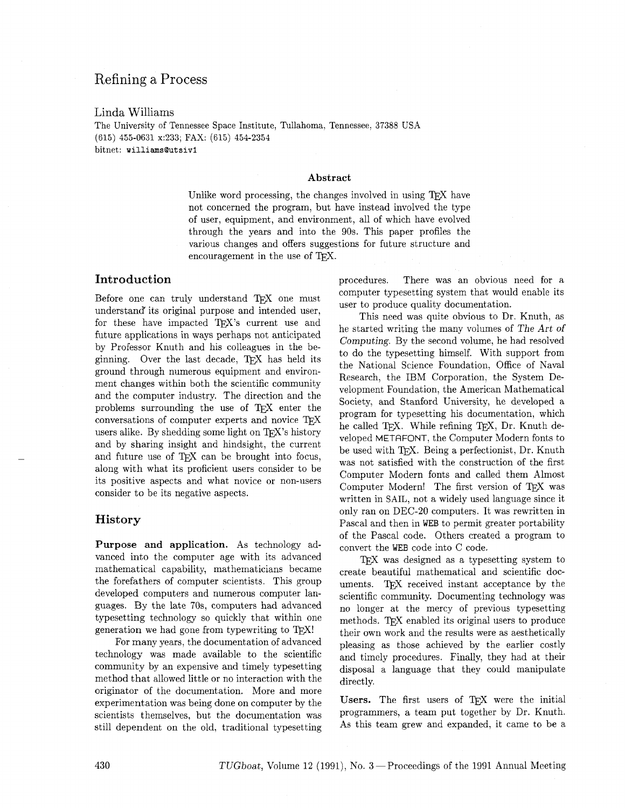# Refining a Process

Linda Williams

The University of Tennessee Space Institute, Tullahoma, Tennessee, 37388 USA (615) 455-0631 x:233; FAX: (615) 454-2354 bitnet: **williamsQutsiv1** 

#### Abstract

Unlike word processing, the changes involved in using TFX have not concerned the program, but have instead involved the type of user, equipment, and environment, all of which have evolved through the years and into the 90s. This paper profiles the various changes and offers suggestions for future structure and encouragement in the use of T<sub>F</sub>X.

## Introduction

Before one can truly understand TFX one must understand' its original purpose and intended user, for these have impacted TFX's current use and future applications in ways perhaps not anticipated by Professor Knuth and his colleagues in the beginning. Over the last decade,  $TFX$  has held its ground through numerous equipment and environment changes within both the scientific community and the computer industry. The direction and the problems surrounding the use of TFX enter the conversations of computer experts and novice  $T<sub>F</sub>X$ users alike. By shedding some light on  $TFX$ 's history and by sharing insight and hindsight, the current and future use of TEX can be brought into focus, along with what its proficient users consider to be its positive aspects and what novice or non-users consider to be its negative aspects.

### History

Purpose and application. As technology advanced into the computer age with its advanced mathematical capability, mathematicians became the forefathers of computer scientists. This group developed computers and numerous computer languages. By the late 70s, computers had advanced typesetting technology so quickly that within one generation we had gone from typewriting to  $T_F X!$ 

For many years; the documentation of advanced technology was made available to the scientific community by an expensive and timely typesetting method that allowed little or no interaction with the originator of the documentation. More and more experimentation was being done on computer by the scientists themselves, but the documentation was still dependent on the old, traditional typesetting

procedures. There was an obvious need for a computer typesetting system that would enable its user to produce quality documentation.

This need was quite obvious to Dr. Knuth, as he started writing the many volumes of The Art of Computing. By the second volume, he had resolved to do the typesetting himself. With support from the National Science Foundation, Office of Naval Research, the IBM Corporation, the System Development Foundation, the American Mathematical Society, and Stanford University, he developed a program for typesetting his documentation, which he called TEX. While refining TEX, Dr. Knuth developed METRFONT, the Computer Modern fonts to be used with TFX. Being a perfectionist, Dr. Knuth was not satisfied with the construction of the first Computer Modern fonts and called them Almost Computer Modern! The first version of TFX was written in SAIL, not a widely used language since it only ran on DEC-20 computers. It was rewritten in Pascal and then in WEB to permit greater portability of the Pascal code. Others created a program to convert the WEB code into C code.

TFX was designed as a typesetting system to create beautiful mathematical and scientific documents. TFX received instant acceptance by the scientific community. Documenting technology was no longer at the mercy of previous typesetting methods. TEX enabled its original users to produce their own work and the results were as aesthetically pleasing as those achieved by the earlier costly and timely procedures. Finally, they had at their disposal a language that they could manipulate directly.

Users. The first users of TFX were the initial programmers, a team put together by Dr. Knuth. As this team grew and expanded, it came to be a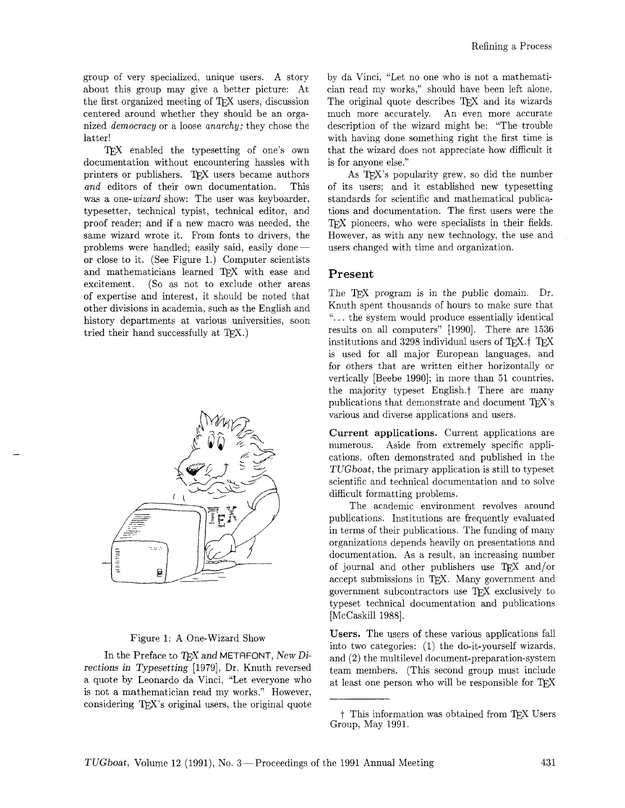group of very specialized, unique users. A story about this group may give a better picture: At the first organized meeting of TEX users, discussion centered around whether they should be an organized democracy or a loose anarchy; they chose the latter!

TEX enabled the typesetting of one's own documentation without encountering hassles with printers or publishers. TEX users became authors and editors of their own documentation. This was a one-wizard show: The user was keyboarder, typesetter, technical typist, technical editor, and proof reader; and if a new macro was needed, the same wizard wrote it. From fonts to drivers, the problems were handled; easily said, easily doneor close to it. (See Figure 1.) Computer scientists and mathematicians learned TFX with ease and excitement. (So as not to exclude other areas of expertise and interest, it should be noted that other divisions in academia, such as the English and history departments at various universities, soon tried their hand successfully at  $T_{F}X$ .)



#### Figure 1: A One-Wizard Show

In the Preface to  $TFX$  and METAFONT, New Directions in Typesetting [1979], Dr. Knuth reversed a quote by Leonardo da Vinci, "Let everyone who is not a mathematician read my works." However, considering T<sub>F</sub>X's original users, the original quote by da Vinci, "Let no one who is not a mathematician read my works," should have been left alone. The original quote describes T<sub>EX</sub> and its wizards much more accurately. An even more accurate description of the wizard might be: "The trouble with having done something right the first time is that the wizard does not appreciate how difficult it is for anyone else."

As TEX's popularity grew, so did the number of its users; and it established new typesetting standards for scientific and mathematical publications and documentation. The first users were the TEX pioneers, who were specialists in their fields. However, as with any new technology, the use and users changed with time and organization.

### Present

The T<sub>F</sub>X program is in the public domain. Dr. Knuth spent thousands of hours to make sure that ". . . the system would produce essentially identical results on all computers" [1990]. There are 1536 institutions and 3298 individual users of TEX.<sup>†</sup> TEX is used for all major European languages, and for others that are written either horizontally or vertically [Beebe 1990]; in more than 51 countries. the majority typeset English.? There are many publications that demonstrate and document  $T_{F}X$ 's various and diverse applications and users.

**Current applications.** Current applications are numerous. Aside from extremely specific applications, often demonstrated and published in the TUGboat, the primary application is still to typeset scientific and technical documentation and to solve difficult formatting problems.

The academic environment revolves around publications. Institutions are frequently evaluated in terms of their publications. The funding of many organizations depends heavily on presentations and documentation. As a result, an increasing number of journal and other publishers use  $T_F X$  and/or accept submissions in TFX. Many government and government subcontractors use  $TFX$  exclusively to typeset technical documentation and publications [McCaskill 1988].

**Users.** The users of these various applications fall into two categories: (1) the do-it-yourself wizards, and (2) the multilevel document-preparation-system team members. (This second group must include at least one person who will be responsible for

t This information was obtained from TEX Users Group, May 1991.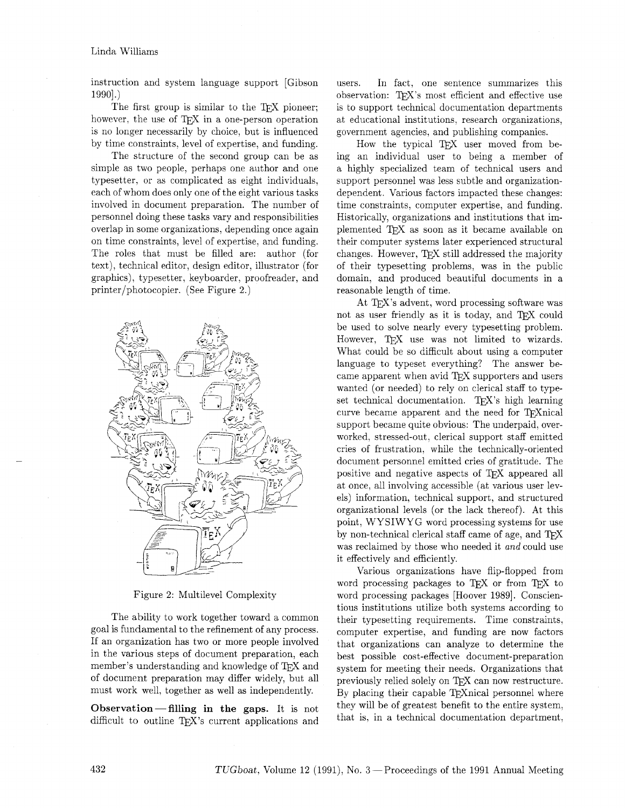instruction and system language support [Gibson  $1990.$ 

The first group is similar to the TEX pioneer; however, the use of T<sub>F</sub>X in a one-person operation is no longer necessarily by choice, but is influenced by time constraints. level of expertise, and funding.

The structure of the second group can be as simple as two people, perhaps one author and one typesetter, or as complicated as eight individuals, each of whom does only one of the eight various tasks involved in document preparation. The number of personnel doing these tasks vary and responsibilities overlap in some organizations, depending once again on time constraints, level of expertise, and funding. The roles that must be filled are: author (for text), technical editor, design editor, illustrator (for graphics), typesetter, keyboarder, proofreader, and printer/photocopier. (See Figure 2.)



Figure 2: Multilevel Complexity

The ability to work together toward a common goal is fundamental to the refinement of any process. If an organization has two or more people involved in the various steps of document preparation, each member's understanding and knowledge of TFX and of document preparation may differ widely, but all must work well, together as well as independently.

**Observation-filling in the gaps.** It is not difficult to outline TEX's current applications and users. In fact, one sentence summarizes this observation: TEX's most efficient and effective use is to support technical documentation departments at educational institutions, research organizations, government agencies, and publishing companies.

How the typical TEX user moved from being an individual user to being a member of a highly specialized team of technical users and support personnel was less subtle and organizationdependent. Various factors impacted these changes: time constraints, computer expertise, and funding. Historically, organizations and institutions that implemented TFX as soon as it became available on their computer systems later experienced structural changes. However, TEX still addressed the majority of their typesetting problems, was in the public domain, and produced beautiful documents in a reasonable length of time.

At TEX's advent, word processing software was not as user friendly as it is today, and T<sub>EX</sub> could be used to solve nearly every typesetting problem. However, TFX use was not limited to wizards. What could be so difficult about using a computer language to typeset everything? The answer became apparent when avid TEX supporters and users wanted (or needed) to rely on clerical staff to typeset technical documentation. TFX's high learning curve became apparent and the need for T<sub>F</sub>Xnical support became quite obvious: The underpaid, overworked, stressed-out, clerical support staff emitted cries of frustration, while the technically-oriented document personnel emitted cries of gratitude. The positive and negative aspects of TEX appeared all at once, all involving accessible (at various user levels) information, technical support, and structured organizational levels (or the lack thereof). At this point, WYSIWYG word processing systems for use by non-technical clerical staff came of age, and TFX was reclaimed by those who needed it and could use it effectively and efficiently.

Various organizations have flip-flopped from word processing packages to TEX or from TEX to word processing packages [Hoover 1989]. Conscientious institutions utilize both systems according to their typesetting requirements. Time constraints, computer expertise, and funding are now factors that organizations can analyze to determine the best possible cost-effective document-preparation system for meeting their needs. Organizations that previously relied solely on TEX can now restructure. By placing their capable T<sub>F</sub>Xnical personnel where they will be of greatest benefit to the entire system, that is, in a technical documentation department,